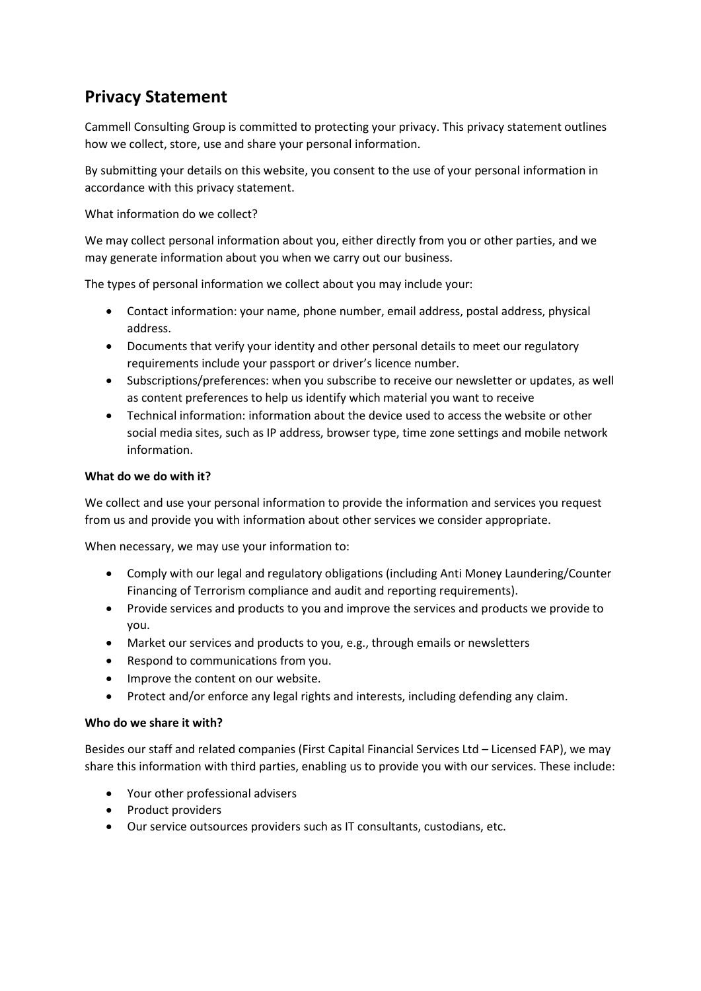# **Privacy Statement**

Cammell Consulting Group is committed to protecting your privacy. This privacy statement outlines how we collect, store, use and share your personal information.

By submitting your details on this website, you consent to the use of your personal information in accordance with this privacy statement.

What information do we collect?

We may collect personal information about you, either directly from you or other parties, and we may generate information about you when we carry out our business.

The types of personal information we collect about you may include your:

- Contact information: your name, phone number, email address, postal address, physical address.
- Documents that verify your identity and other personal details to meet our regulatory requirements include your passport or driver's licence number.
- Subscriptions/preferences: when you subscribe to receive our newsletter or updates, as well as content preferences to help us identify which material you want to receive
- Technical information: information about the device used to access the website or other social media sites, such as IP address, browser type, time zone settings and mobile network information.

## **What do we do with it?**

We collect and use your personal information to provide the information and services you request from us and provide you with information about other services we consider appropriate.

When necessary, we may use your information to:

- Comply with our legal and regulatory obligations (including Anti Money Laundering/Counter Financing of Terrorism compliance and audit and reporting requirements).
- Provide services and products to you and improve the services and products we provide to you.
- Market our services and products to you, e.g., through emails or newsletters
- Respond to communications from you.
- Improve the content on our website.
- Protect and/or enforce any legal rights and interests, including defending any claim.

#### **Who do we share it with?**

Besides our staff and related companies (First Capital Financial Services Ltd – Licensed FAP), we may share this information with third parties, enabling us to provide you with our services. These include:

- Your other professional advisers
- Product providers
- Our service outsources providers such as IT consultants, custodians, etc.